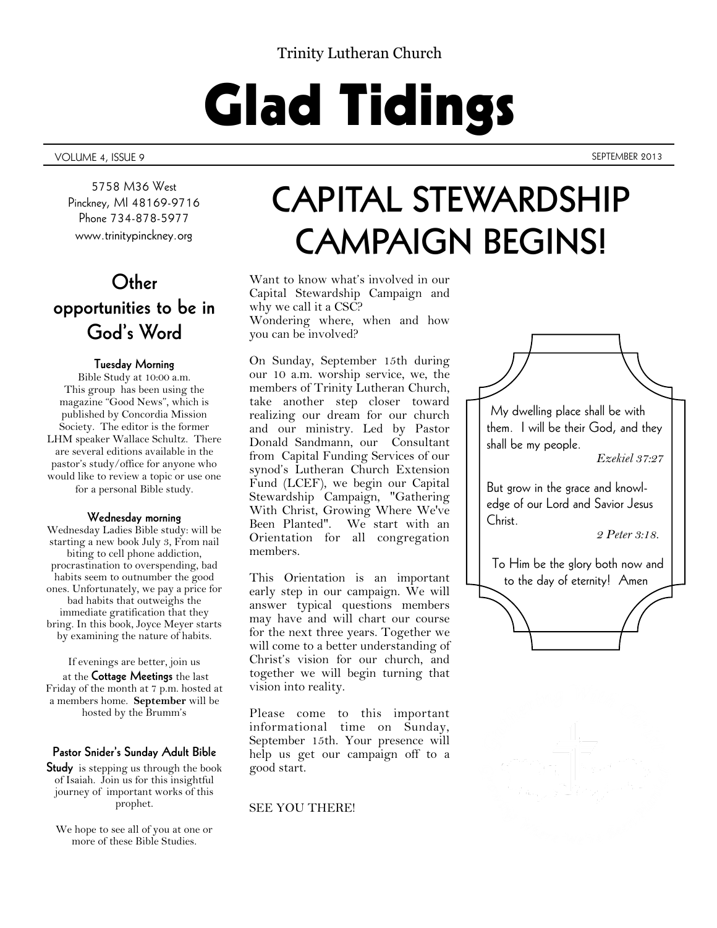### Trinity Lutheran Church

# Glad Tidings

VOLUME 4, ISSUE 9 SEPTEMBER 2013

5758 M36 West Pinckney, MI 48169-9716 Phone 734-878-5977 www.trinitypinckney.org

### **Other opportunities to be in God's Word**

### **Tuesday Morning**

Bible Study at 10:00 a.m. This group has been using the magazine "Good News", which is published by Concordia Mission Society. The editor is the former LHM speaker Wallace Schultz. There are several editions available in the pastor's study/office for anyone who would like to review a topic or use one for a personal Bible study.

### **Wednesday morning**

Wednesday Ladies Bible study: will be starting a new book July 3, From nail biting to cell phone addiction, procrastination to overspending, bad habits seem to outnumber the good ones. Unfortunately, we pay a price for bad habits that outweighs the immediate gratification that they bring. In this book, Joyce Meyer starts by examining the nature of habits.

If evenings are better, join us at the **Cottage Meetings** the last Friday of the month at 7 p.m. hosted at a members home. **September** will be hosted by the Brumm's

### **Pastor Snider's Sunday Adult Bible**

**Study** is stepping us through the book of Isaiah. Join us for this insightful journey of important works of this prophet.

We hope to see all of you at one or more of these Bible Studies.

# **CAPITAL STEWARDSHIP CAMPAIGN BEGINS!**

Want to know what's involved in our Capital Stewardship Campaign and why we call it a CSC? Wondering where, when and how you can be involved?

On Sunday, September 15th during our 10 a.m. worship service, we, the members of Trinity Lutheran Church, take another step closer toward realizing our dream for our church and our ministry. Led by Pastor Donald Sandmann, our Consultant from Capital Funding Services of our synod's Lutheran Church Extension Fund (LCEF), we begin our Capital Stewardship Campaign, "Gathering With Christ, Growing Where We've Been Planted". We start with an Orientation for all congregation members.

This Orientation is an important early step in our campaign. We will answer typical questions members may have and will chart our course for the next three years. Together we will come to a better understanding of Christ's vision for our church, and together we will begin turning that vision into reality.

Please come to this important informational time on Sunday, September 15th. Your presence will help us get our campaign off to a good start.

### SEE YOU THERE!

My dwelling place shall be with them. I will be their God, and they shall be my people.

*Ezekiel 37:27* 

But grow in the grace and knowledge of our Lord and Savior Jesus Christ.

*2 Peter 3:18.*

To Him be the glory both now and to the day of eternity! Amen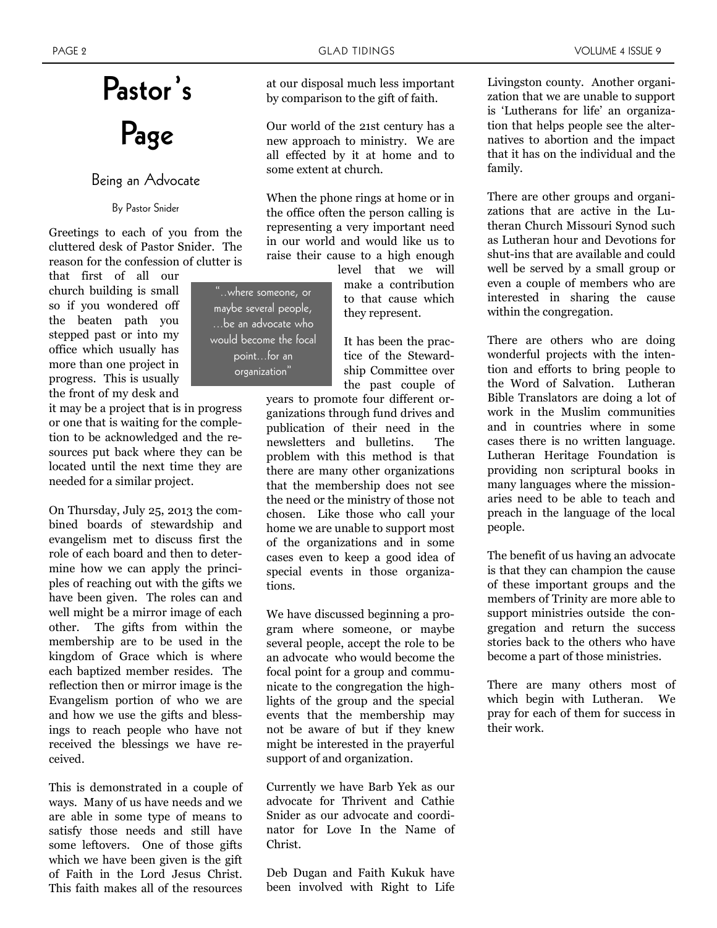# **Pastor's Page**

### Being an Advocate

### By Pastor Snider

Greetings to each of you from the cluttered desk of Pastor Snider. The reason for the confession of clutter is

that first of all our church building is small so if you wondered off the beaten path you stepped past or into my office which usually has more than one project in progress. This is usually the front of my desk and

it may be a project that is in progress or one that is waiting for the completion to be acknowledged and the resources put back where they can be located until the next time they are needed for a similar project.

On Thursday, July 25, 2013 the combined boards of stewardship and evangelism met to discuss first the role of each board and then to determine how we can apply the principles of reaching out with the gifts we have been given. The roles can and well might be a mirror image of each other. The gifts from within the membership are to be used in the kingdom of Grace which is where each baptized member resides. The reflection then or mirror image is the Evangelism portion of who we are and how we use the gifts and blessings to reach people who have not received the blessings we have received.

This is demonstrated in a couple of ways. Many of us have needs and we are able in some type of means to satisfy those needs and still have some leftovers. One of those gifts which we have been given is the gift of Faith in the Lord Jesus Christ. This faith makes all of the resources at our disposal much less important by comparison to the gift of faith.

Our world of the 21st century has a new approach to ministry. We are all effected by it at home and to some extent at church.

When the phone rings at home or in the office often the person calling is representing a very important need in our world and would like us to raise their cause to a high enough

"..where someone, or maybe several people, ...be an advocate who would become the focal point...for an organization"

level that we will make a contribution to that cause which they represent.

It has been the practice of the Stewardship Committee over the past couple of

years to promote four different organizations through fund drives and publication of their need in the newsletters and bulletins. The problem with this method is that there are many other organizations that the membership does not see the need or the ministry of those not chosen. Like those who call your home we are unable to support most of the organizations and in some cases even to keep a good idea of special events in those organizations.

We have discussed beginning a program where someone, or maybe several people, accept the role to be an advocate who would become the focal point for a group and communicate to the congregation the highlights of the group and the special events that the membership may not be aware of but if they knew might be interested in the prayerful support of and organization.

Currently we have Barb Yek as our advocate for Thrivent and Cathie Snider as our advocate and coordinator for Love In the Name of Christ.

Deb Dugan and Faith Kukuk have been involved with Right to Life Livingston county. Another organization that we are unable to support is 'Lutherans for life' an organization that helps people see the alternatives to abortion and the impact that it has on the individual and the family.

There are other groups and organizations that are active in the Lutheran Church Missouri Synod such as Lutheran hour and Devotions for shut-ins that are available and could well be served by a small group or even a couple of members who are interested in sharing the cause within the congregation.

There are others who are doing wonderful projects with the intention and efforts to bring people to the Word of Salvation. Lutheran Bible Translators are doing a lot of work in the Muslim communities and in countries where in some cases there is no written language. Lutheran Heritage Foundation is providing non scriptural books in many languages where the missionaries need to be able to teach and preach in the language of the local people.

The benefit of us having an advocate is that they can champion the cause of these important groups and the members of Trinity are more able to support ministries outside the congregation and return the success stories back to the others who have become a part of those ministries.

There are many others most of which begin with Lutheran. We pray for each of them for success in their work.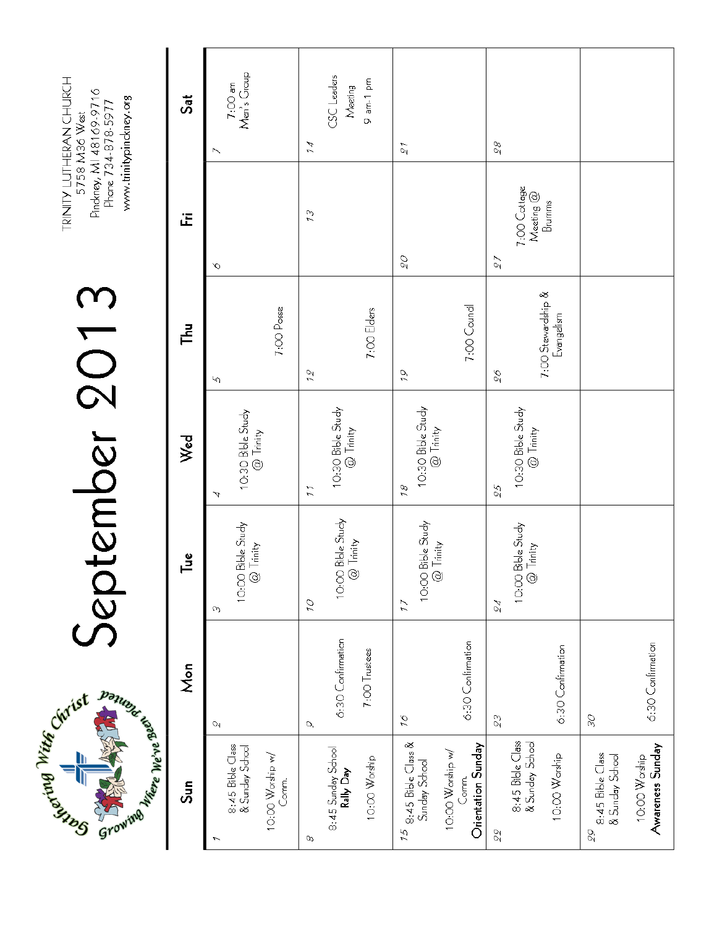

# September 2013

TRINITY LUTHERAN CHURCH<br>5758 M36 West Pinckney, MI 48169-9716<br>Phone 734-878-5977 www.trinitypinckney.org

| Sun                                                                                         | Mon                                                  | ᇢ                                                                  | Wed                                             | ᅾ                                      | ίĒ                                        | Sat                                                            |
|---------------------------------------------------------------------------------------------|------------------------------------------------------|--------------------------------------------------------------------|-------------------------------------------------|----------------------------------------|-------------------------------------------|----------------------------------------------------------------|
| 8:45 Bible Class<br>& Sunday School<br>10:00 Worship w/<br>Comm.                            | U                                                    | ı Bible Study<br>2 Trinity<br>10.001<br>O)                         | 10:30 Bible Study<br>@ Trinity<br>4             | 7:00 Posse<br>Ю                        | $\mathcal{O}$                             | 7:00 am<br>Men's Group                                         |
| 8:45 Sunday School<br><b>Rally Day</b><br>10:00 Worship<br>ρ                                | 6:30 Confirmation<br>7:00 Trustees<br>$\mathcal{O}'$ | 10:00 Bible Study<br>@ Trinity<br>07                               | 10:30 Bible Study<br>@ Trinity<br>$\frac{1}{2}$ | 7:00 Elders<br>12                      | 23                                        | $CSC$ Leaders<br>9 am-1 pm<br>Meeting<br>$\tilde{\mathcal{A}}$ |
| $15$ 8:45 Bible Class &<br>Orientation Sunday<br>10:00 Worship w/<br>Sunday School<br>Comm. | 6:30 Confirmation<br>$\tilde{\mathcal{L}}$           | Bible Study<br>10:00 Bible St<br>@ Trinity<br>$\frac{7}{2}$        | 10:30 Bible Study<br>@ Trinity<br>18            | 7:00 Council<br>$\tilde{\rho}$         | $\mathcal{O}\mathcal{S}$                  | 21                                                             |
| 8:45 Bible Class<br>& Sunday School<br>10:00 Worship<br>88                                  | 6:30 Confirmation<br>23                              | ı Bible Study<br>2 Trinity<br>$\frac{1}{2}$<br>$\frac{1}{2}$<br>24 | 10:30 Bible Study<br>@ Trinity<br>55            | 7:00 Stewardship &<br>Evangelism<br>96 | 7:00 Cottage<br>Meeting @<br>Brumms<br>27 | 86                                                             |
| Awareness Sunday<br>8:45 Bible Class<br>& Sunday School<br>10:00 Worship<br>99              | 6:30 Confirmation<br>SC                              |                                                                    |                                                 |                                        |                                           |                                                                |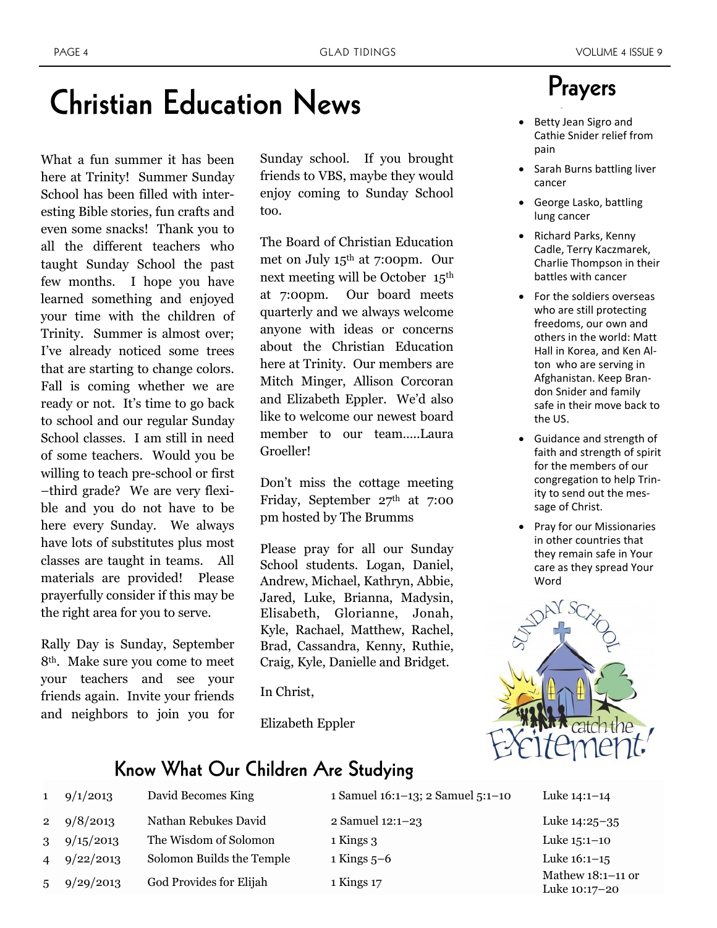# **Christian Education News**

What a fun summer it has been here at Trinity! Summer Sunday School has been filled with interesting Bible stories, fun crafts and even some snacks! Thank you to all the different teachers who taught Sunday School the past few months. I hope you have learned something and enjoyed your time with the children of Trinity. Summer is almost over; I've already noticed some trees that are starting to change colors. Fall is coming whether we are ready or not. It's time to go back to school and our regular Sunday School classes. I am still in need of some teachers. Would you be willing to teach pre-school or first –third grade? We are very flexible and you do not have to be here every Sunday. We always have lots of substitutes plus most classes are taught in teams. All materials are provided! Please prayerfully consider if this may be the right area for you to serve.

Rally Day is Sunday, September 8th. Make sure you come to meet your teachers and see your friends again. Invite your friends and neighbors to join you for

Sunday school. If you brought friends to VBS, maybe they would enjoy coming to Sunday School too.

The Board of Christian Education met on July 15th at 7:00pm. Our next meeting will be October 15th at 7:00pm. Our board meets quarterly and we always welcome anyone with ideas or concerns about the Christian Education here at Trinity. Our members are Mitch Minger, Allison Corcoran and Elizabeth Eppler. We'd also like to welcome our newest board member to our team…..Laura Groeller!

Don't miss the cottage meeting Friday, September 27th at 7:00 pm hosted by The Brumms

Please pray for all our Sunday School students. Logan, Daniel, Andrew, Michael, Kathryn, Abbie, Jared, Luke, Brianna, Madysin, Elisabeth, Glorianne, Jonah, Kyle, Rachael, Matthew, Rachel, Brad, Cassandra, Kenny, Ruthie, Craig, Kyle, Danielle and Bridget.

In Christ,

Elizabeth Eppler

### Prayers strength and health and health and health and health and health and health and health and health and health and health and health and health and health and health and health and health and health and health and health and

- Betty Jean Sigro and Cathie Snider relief from pain
- Sarah Burns battling liver cancer
- George Lasko, battling lung cancer
- Richard Parks, Kenny Cadle, Terry Kaczmarek, Charlie Thompson in their battles with cancer
- For the soldiers overseas who are still protecting freedoms, our own and others in the world: Matt Hall in Korea, and Ken Alton who are serving in Afghanistan. Keep Brandon Snider and family safe in their move back to the US.
- Guidance and strength of faith and strength of spirit for the members of our congregation to help Trinity to send out the message of Christ.
- Pray for our Missionaries in other countries that they remain safe in Your care as they spread Your Word



### **Know What Our Children Are Studying**

| $\mathbf{1}$   | 9/1/2013           | David Becomes King        | 1 Samuel 16:1-13; 2 Samuel 5:1-10 | Luke $14:1-14$                       |
|----------------|--------------------|---------------------------|-----------------------------------|--------------------------------------|
|                | 2 $9/8/2013$       | Nathan Rebukes David      | 2 Samuel 12:1-23                  | Luke 14:25-35                        |
| 3 <sup>1</sup> | 9/15/2013          | The Wisdom of Solomon     | 1 Kings 3                         | Luke $15:1-10$                       |
|                | $4\quad 9/22/2013$ | Solomon Builds the Temple | $1$ Kings $5-6$                   | Luke $16:1-15$                       |
| 5 <sup>5</sup> | 9/29/2013          | God Provides for Elijah   | 1 Kings 17                        | Mathew $18:1-11$ or<br>Luke 10:17-20 |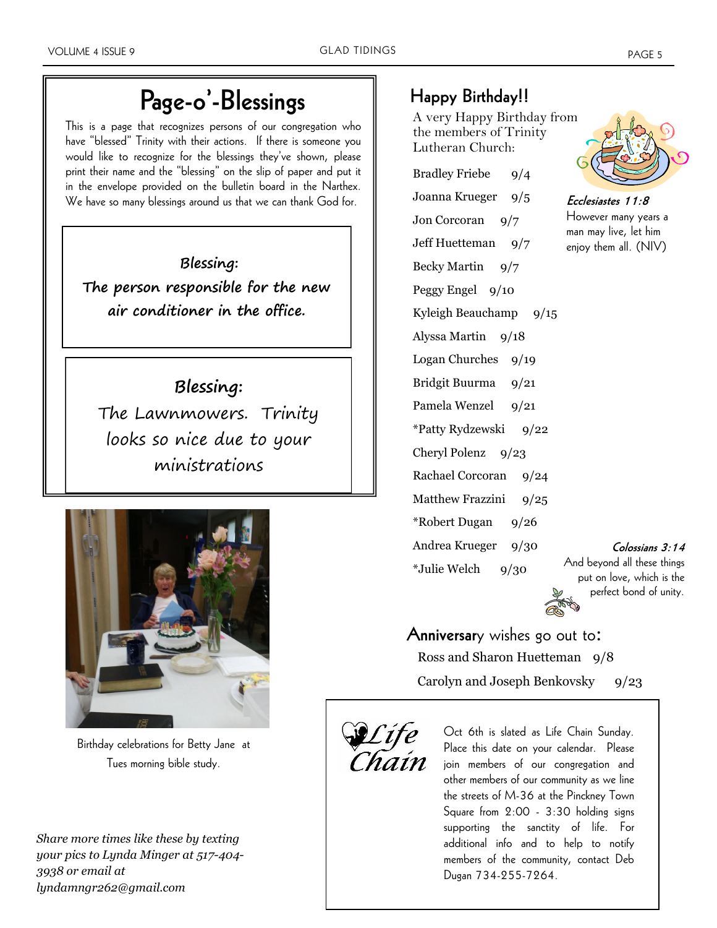# **Page-o'-Blessings**

This is a page that recognizes persons of our congregation who have "blessed" Trinity with their actions. If there is someone you would like to recognize for the blessings they've shown, please print their name and the "blessing" on the slip of paper and put it in the envelope provided on the bulletin board in the Narthex. We have so many blessings around us that we can thank God for.

**Blessing: The person responsible for the new air conditioner in the office.** 

### **Blessing:**

The Lawnmowers. Trinity looks so nice due to your ministrations



Birthday celebrations for Betty Jane at Tues morning bible study.

*Share more times like these by texting your pics to Lynda Minger at 517-404- 3938 or email at lyndamngr262@gmail.com*

### **Happy Birthday!!**

A very Happy Birthday from the members of Trinity Lutheran Church:

Bradley Friebe 9/4 Joanna Krueger 9/5 Jon Corcoran 9/7 Jeff Huetteman 9/7 Becky Martin 9/7 Peggy Engel 9/10 Kyleigh Beauchamp  $9/15$ Alyssa Martin 9/18 Logan Churches 9/19 Bridgit Buurma 9/21 Pamela Wenzel 9/21 \*Patty Rydzewski 9/22 Cheryl Polenz 9/23 Rachael Corcoran 9/24 Matthew Frazzini 9/25 \*Robert Dugan 9/26 Andrea Krueger 9/30  $*$ Julie Welch  $9/30$ 



**Ecclesiastes 11:8** However many years a man may live, let him enjoy them all. (NIV)

**Colossians 3:14** 

And beyond all these things put on love, which is the perfect bond of unity.

**Anniversar**y wishes go out to: Ross and Sharon Huetteman 9/8 Carolyn and Joseph Benkovsky 9/23



Oct 6th is slated as Life Chain Sunday. Place this date on your calendar. Please join members of our congregation and other members of our community as we line the streets of M-36 at the Pinckney Town Square from 2:00 - 3:30 holding signs supporting the sanctity of life. For additional info and to help to notify members of the community, contact Deb Dugan 734-255-7264.